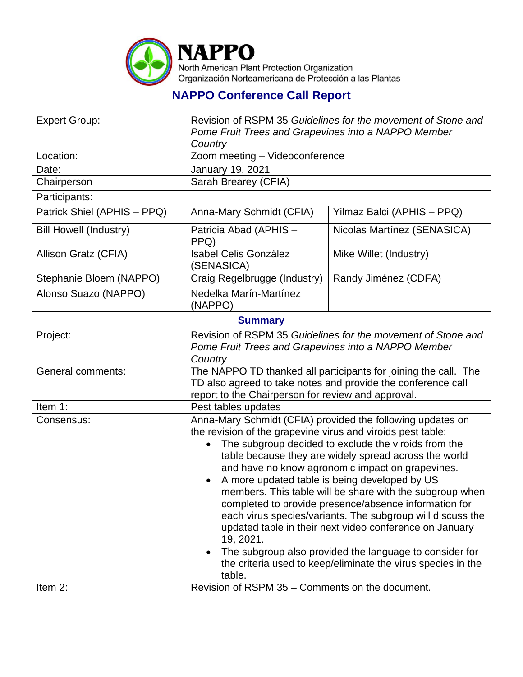

## **NAPPO Conference Call Report**

| <b>Expert Group:</b>          | Revision of RSPM 35 Guidelines for the movement of Stone and                                                                                                                                                                                  |                             |  |  |
|-------------------------------|-----------------------------------------------------------------------------------------------------------------------------------------------------------------------------------------------------------------------------------------------|-----------------------------|--|--|
|                               | Pome Fruit Trees and Grapevines into a NAPPO Member                                                                                                                                                                                           |                             |  |  |
|                               | Country                                                                                                                                                                                                                                       |                             |  |  |
| Location:                     | Zoom meeting - Videoconference                                                                                                                                                                                                                |                             |  |  |
| Date:                         | January 19, 2021                                                                                                                                                                                                                              |                             |  |  |
| Chairperson                   | Sarah Brearey (CFIA)                                                                                                                                                                                                                          |                             |  |  |
| Participants:                 |                                                                                                                                                                                                                                               |                             |  |  |
| Patrick Shiel (APHIS - PPQ)   | Anna-Mary Schmidt (CFIA)                                                                                                                                                                                                                      | Yilmaz Balci (APHIS - PPQ)  |  |  |
| <b>Bill Howell (Industry)</b> | Patricia Abad (APHIS -<br>PPQ)                                                                                                                                                                                                                | Nicolas Martínez (SENASICA) |  |  |
| Allison Gratz (CFIA)          | <b>Isabel Celis González</b><br>(SENASICA)                                                                                                                                                                                                    | Mike Willet (Industry)      |  |  |
| Stephanie Bloem (NAPPO)       | Craig Regelbrugge (Industry)                                                                                                                                                                                                                  | Randy Jiménez (CDFA)        |  |  |
| Alonso Suazo (NAPPO)          | Nedelka Marín-Martínez<br>(NAPPO)                                                                                                                                                                                                             |                             |  |  |
| <b>Summary</b>                |                                                                                                                                                                                                                                               |                             |  |  |
| Project:                      | Revision of RSPM 35 Guidelines for the movement of Stone and                                                                                                                                                                                  |                             |  |  |
|                               | Pome Fruit Trees and Grapevines into a NAPPO Member                                                                                                                                                                                           |                             |  |  |
|                               | Country                                                                                                                                                                                                                                       |                             |  |  |
| General comments:             | The NAPPO TD thanked all participants for joining the call. The                                                                                                                                                                               |                             |  |  |
|                               | TD also agreed to take notes and provide the conference call                                                                                                                                                                                  |                             |  |  |
| Item 1:                       | report to the Chairperson for review and approval.                                                                                                                                                                                            |                             |  |  |
| Consensus:                    |                                                                                                                                                                                                                                               | Pest tables updates         |  |  |
|                               | Anna-Mary Schmidt (CFIA) provided the following updates on                                                                                                                                                                                    |                             |  |  |
|                               | the revision of the grapevine virus and viroids pest table:                                                                                                                                                                                   |                             |  |  |
|                               | The subgroup decided to exclude the viroids from the<br>table because they are widely spread across the world                                                                                                                                 |                             |  |  |
|                               | and have no know agronomic impact on grapevines.                                                                                                                                                                                              |                             |  |  |
|                               | A more updated table is being developed by US<br>$\bullet$<br>members. This table will be share with the subgroup when<br>completed to provide presence/absence information for<br>each virus species/variants. The subgroup will discuss the |                             |  |  |
|                               |                                                                                                                                                                                                                                               |                             |  |  |
|                               |                                                                                                                                                                                                                                               |                             |  |  |
|                               |                                                                                                                                                                                                                                               |                             |  |  |
|                               | updated table in their next video conference on January                                                                                                                                                                                       |                             |  |  |
|                               | 19, 2021.                                                                                                                                                                                                                                     |                             |  |  |
|                               | The subgroup also provided the language to consider for<br>$\bullet$                                                                                                                                                                          |                             |  |  |
|                               | the criteria used to keep/eliminate the virus species in the<br>table.                                                                                                                                                                        |                             |  |  |
| Item 2:                       | Revision of RSPM 35 - Comments on the document.                                                                                                                                                                                               |                             |  |  |
|                               |                                                                                                                                                                                                                                               |                             |  |  |